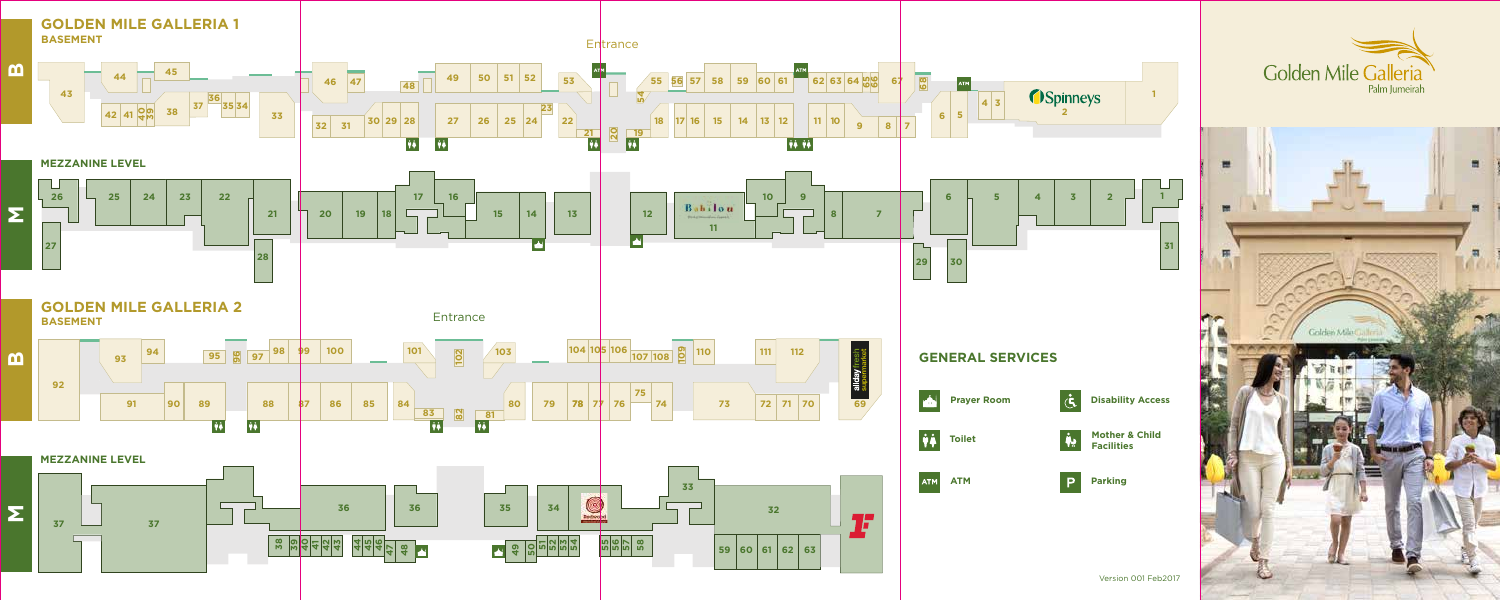